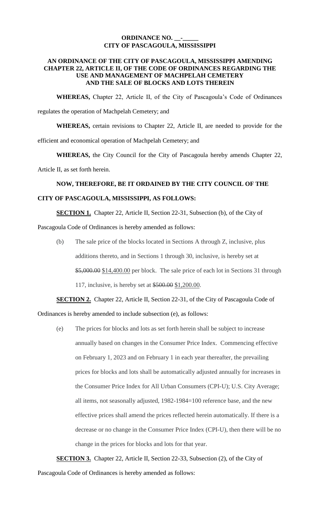## **ORDINANCE NO. \_\_-\_\_\_\_\_ CITY OF PASCAGOULA, MISSISSIPPI**

#### **AN ORDINANCE OF THE CITY OF PASCAGOULA, MISSISSIPPI AMENDING CHAPTER 22, ARTICLE II, OF THE CODE OF ORDINANCES REGARDING THE USE AND MANAGEMENT OF MACHPELAH CEMETERY AND THE SALE OF BLOCKS AND LOTS THEREIN**

**WHEREAS,** Chapter 22, Article II, of the City of Pascagoula's Code of Ordinances regulates the operation of Machpelah Cemetery; and

**WHEREAS,** certain revisions to Chapter 22, Article II, are needed to provide for the efficient and economical operation of Machpelah Cemetery; and

**WHEREAS,** the City Council for the City of Pascagoula hereby amends Chapter 22,

Article II, as set forth herein.

## **NOW, THEREFORE, BE IT ORDAINED BY THE CITY COUNCIL OF THE**

## **CITY OF PASCAGOULA, MISSISSIPPI, AS FOLLOWS:**

**SECTION 1.** Chapter 22, Article II, Section 22-31, Subsection (b), of the City of

Pascagoula Code of Ordinances is hereby amended as follows:

(b) The sale price of the blocks located in Sections A through Z, inclusive, plus additions thereto, and in Sections 1 through 30, inclusive, is hereby set at \$5,000.00 \$14,400.00 per block. The sale price of each lot in Sections 31 through 117, inclusive, is hereby set at \$500.00 \$1,200.00.

# **SECTION 2.** Chapter 22, Article II, Section 22-31, of the City of Pascagoula Code of

Ordinances is hereby amended to include subsection (e), as follows:

(e) The prices for blocks and lots as set forth herein shall be subject to increase annually based on changes in the Consumer Price Index. Commencing effective on February 1, 2023 and on February 1 in each year thereafter, the prevailing prices for blocks and lots shall be automatically adjusted annually for increases in the Consumer Price Index for All Urban Consumers (CPI-U); U.S. City Average; all items, not seasonally adjusted, 1982-1984=100 reference base, and the new effective prices shall amend the prices reflected herein automatically. If there is a decrease or no change in the Consumer Price Index (CPI-U), then there will be no change in the prices for blocks and lots for that year.

**SECTION 3.** Chapter 22, Article II, Section 22-33, Subsection (2), of the City of Pascagoula Code of Ordinances is hereby amended as follows: